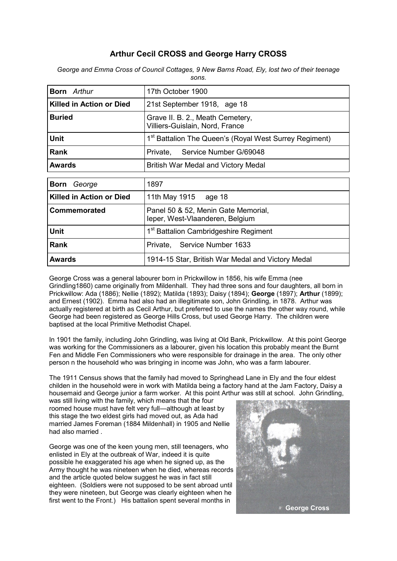# **Arthur Cecil CROSS and George Harry CROSS**

| <b>Born</b> Arthur              | 17th October 1900                                                      |
|---------------------------------|------------------------------------------------------------------------|
| Killed in Action or Died        | 21st September 1918, age 18                                            |
| <b>Buried</b>                   | Grave II. B. 2., Meath Cemetery,<br>Villiers-Guislain, Nord, France    |
| <b>Unit</b>                     | 1 <sup>st</sup> Battalion The Queen's (Royal West Surrey Regiment)     |
| <b>Rank</b>                     | Service Number G/69048<br>Private,                                     |
| <b>Awards</b>                   | <b>British War Medal and Victory Medal</b>                             |
|                                 |                                                                        |
| <b>Born</b><br>George           | 1897                                                                   |
| <b>Killed in Action or Died</b> | 11th May 1915 age 18                                                   |
| Commemorated                    | Panel 50 & 52, Menin Gate Memorial,<br>leper, West-Vlaanderen, Belgium |
| <b>Unit</b>                     | 1 <sup>st</sup> Battalion Cambridgeshire Regiment                      |
| <b>Rank</b>                     | Private, Service Number 1633                                           |
| <b>Awards</b>                   | 1914-15 Star, British War Medal and Victory Medal                      |

*George and Emma Cross of Council Cottages, 9 New Barns Road, Ely, lost two of their teenage sons.*

George Cross was a general labourer born in Prickwillow in 1856, his wife Emma (nee Grindling1860) came originally from Mildenhall. They had three sons and four daughters, all born in Prickwillow: Ada (1886); Nellie (1892); Matilda (1893); Daisy (1894); **George** (1897); **Arthur** (1899); and Ernest (1902). Emma had also had an illegitimate son, John Grindling, in 1878. Arthur was actually registered at birth as Cecil Arthur, but preferred to use the names the other way round, while George had been registered as George Hills Cross, but used George Harry. The children were baptised at the local Primitive Methodist Chapel.

In 1901 the family, including John Grindling, was living at Old Bank, Prickwillow. At this point George was working for the Commissioners as a labourer, given his location this probably meant the Burnt Fen and Middle Fen Commissioners who were responsible for drainage in the area. The only other person n the household who was bringing in income was John, who was a farm labourer.

The 1911 Census shows that the family had moved to Springhead Lane in Ely and the four eldest childen in the household were in work with Matilda being a factory hand at the Jam Factory, Daisy a housemaid and George junior a farm worker. At this point Arthur was still at school. John Grindling,

was still living with the family, which means that the four roomed house must have felt very full—although at least by this stage the two eldest girls had moved out, as Ada had married James Foreman (1884 Mildenhall) in 1905 and Nellie had also married .

George was one of the keen young men, still teenagers, who enlisted in Ely at the outbreak of War, indeed it is quite possible he exaggerated his age when he signed up, as the Army thought he was nineteen when he died, whereas records and the article quoted below suggest he was in fact still eighteen. (Soldiers were not supposed to be sent abroad until they were nineteen, but George was clearly eighteen when he first went to the Front.) His battalion spent several months in

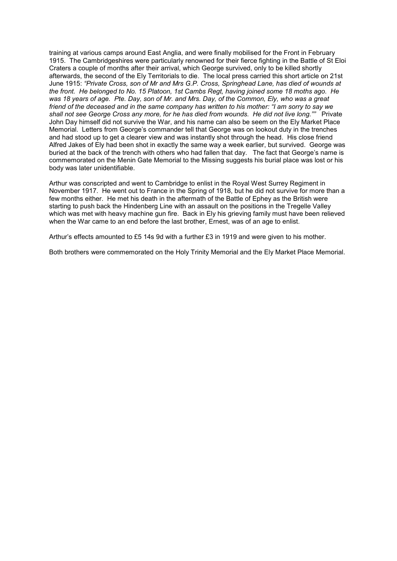training at various camps around East Anglia, and were finally mobilised for the Front in February 1915. The Cambridgeshires were particularly renowned for their fierce fighting in the Battle of St Eloi Craters a couple of months after their arrival, which George survived, only to be killed shortly afterwards, the second of the Ely Territorials to die. The local press carried this short article on 21st June 1915: *"Private Cross, son of Mr and Mrs G.P. Cross, Springhead Lane, has died of wounds at the front. He belonged to No. 15 Platoon, 1st Cambs Regt, having joined some 18 moths ago. He was 18 years of age. Pte. Day, son of Mr. and Mrs. Day, of the Common, Ely, who was a great friend of the deceased and in the same company has written to his mother: "I am sorry to say we shall not see George Cross any more, for he has died from wounds. He did not live long.""* Private John Day himself did not survive the War, and his name can also be seem on the Ely Market Place Memorial. Letters from George's commander tell that George was on lookout duty in the trenches and had stood up to get a clearer view and was instantly shot through the head. His close friend Alfred Jakes of Ely had been shot in exactly the same way a week earlier, but survived. George was buried at the back of the trench with others who had fallen that day. The fact that George's name is commemorated on the Menin Gate Memorial to the Missing suggests his burial place was lost or his body was later unidentifiable.

Arthur was conscripted and went to Cambridge to enlist in the Royal West Surrey Regiment in November 1917. He went out to France in the Spring of 1918, but he did not survive for more than a few months either. He met his death in the aftermath of the Battle of Ephey as the British were starting to push back the Hindenberg Line with an assault on the positions in the Tregelle Valley which was met with heavy machine gun fire. Back in Ely his grieving family must have been relieved when the War came to an end before the last brother, Ernest, was of an age to enlist.

Arthur's effects amounted to £5 14s 9d with a further £3 in 1919 and were given to his mother.

Both brothers were commemorated on the Holy Trinity Memorial and the Ely Market Place Memorial.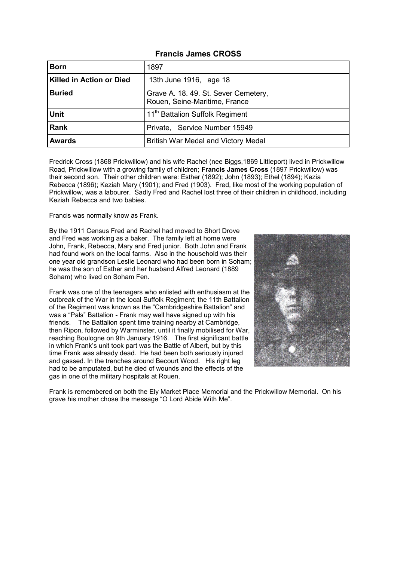#### **Francis James CROSS**

| <b>Born</b>                     | 1897                                                                  |
|---------------------------------|-----------------------------------------------------------------------|
| <b>Killed in Action or Died</b> | 13th June 1916, age 18                                                |
| <b>Buried</b>                   | Grave A. 18. 49. St. Sever Cemetery,<br>Rouen, Seine-Maritime, France |
| <b>Unit</b>                     | 11 <sup>th</sup> Battalion Suffolk Regiment                           |
| <b>Rank</b>                     | Private, Service Number 15949                                         |
| <b>Awards</b>                   | British War Medal and Victory Medal                                   |

Fredrick Cross (1868 Prickwillow) and his wife Rachel (nee Biggs,1869 Littleport) lived in Prickwillow Road, Prickwillow with a growing family of children; **Francis James Cross** (1897 Prickwillow) was their second son. Their other children were: Esther (1892); John (1893); Ethel (1894); Kezia Rebecca (1896); Keziah Mary (1901); and Fred (1903). Fred, like most of the working population of Prickwillow, was a labourer. Sadly Fred and Rachel lost three of their children in childhood, including Keziah Rebecca and two babies.

Francis was normally know as Frank.

By the 1911 Census Fred and Rachel had moved to Short Drove and Fred was working as a baker. The family left at home were John, Frank, Rebecca, Mary and Fred junior. Both John and Frank had found work on the local farms. Also in the household was their one year old grandson Leslie Leonard who had been born in Soham; he was the son of Esther and her husband Alfred Leonard (1889 Soham) who lived on Soham Fen.

Frank was one of the teenagers who enlisted with enthusiasm at the outbreak of the War in the local Suffolk Regiment; the 11th Battalion of the Regiment was known as the "Cambridgeshire Battalion" and was a "Pals" Battalion - Frank may well have signed up with his friends. The Battalion spent time training nearby at Cambridge, then Ripon, followed by Warminster, until it finally mobilised for War, reaching Boulogne on 9th January 1916. The first significant battle in which Frank's unit took part was the Battle of Albert, but by this time Frank was already dead. He had been both seriously injured and gassed. In the trenches around Becourt Wood. His right leg had to be amputated, but he died of wounds and the effects of the gas in one of the military hospitals at Rouen.



Frank is remembered on both the Ely Market Place Memorial and the Prickwillow Memorial. On his grave his mother chose the message "O Lord Abide With Me".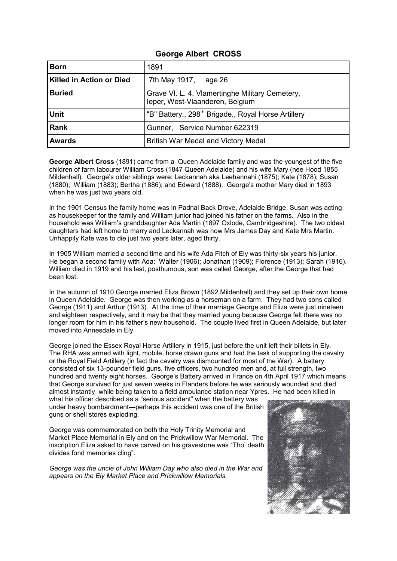## **George Albert CROSS**

| <b>Born</b>                     | 1891                                                                               |
|---------------------------------|------------------------------------------------------------------------------------|
| <b>Killed in Action or Died</b> | 7th May 1917, age 26                                                               |
| <b>Buried</b>                   | Grave VI. L. 4, Vlamertinghe Military Cemetery,<br>leper, West-Vlaanderen, Belgium |
| <b>Unit</b>                     | "B" Battery., 298 <sup>th</sup> Brigade., Royal Horse Artillery                    |
| Rank                            | Gunner, Service Number 622319                                                      |
| <b>Awards</b>                   | British War Medal and Victory Medal                                                |

**George Albert Cross** (1891) came from a Queen Adelaide family and was the youngest of the five children of farm labourer William Cross (1847 Queen Adelaide) and his wife Mary (nee Hood 1855 Mildenhall). George's older siblings were: Leckannah aka Leehannahi (1875); Kate (1878); Susan (1880); William (1883); Bertha (1886); and Edward (1888). George's mother Mary died in 1893 when he was just two years old.

In the 1901 Census the family home was in Padnal Back Drove, Adelaide Bridge, Susan was acting as housekeeper for the family and William junior had joined his father on the farms. Also in the household was William's granddaughter Ada Martin (1897 Oxlode, Cambridgeshire). The two oldest daughters had left home to marry and Leckannah was now Mrs James Day and Kate Mrs Martin. Unhappily Kate was to die just two years later, aged thirty.

In 1905 William married a second time and his wife Ada Fitch of Ely was thirty-six years his junior. He began a second family with Ada: Walter (1906); Jonathan (1909); Florence (1913); Sarah (1916). William died in 1919 and his last, posthumous, son was called George, after the George that had been lost.

In the autumn of 1910 George married Eliza Brown (1892 Mildenhall) and they set up their own home in Queen Adelaide. George was then working as a horseman on a farm. They had two sons called George (1911) and Arthur (1913). At the time of their marriage George and Eliza were just nineteen and eighteen respectively, and it may be that they married young because George felt there was no longer room for him in his father's new household. The couple lived first in Queen Adelaide, but later moved into Annesdale in Ely.

George joined the Essex Royal Horse Artillery in 1915, just before the unit left their billets in Ely. The RHA was armed with light, mobile, horse drawn guns and had the task of supporting the cavalry or the Royal Field Artillery (in fact the cavalry was dismounted for most of the War). A battery consisted of six 13-pounder field guns, five officers, two hundred men and, at full strength, two hundred and twenty eight horses. George's Battery arrived in France on 4th April 1917 which means that George survived for just seven weeks in Flanders before he was seriously wounded and died almost instantly while being taken to a field ambulance station near Ypres. He had been killed in

what his officer described as a "serious accident" when the battery was under heavy bombardment—perhaps this accident was one of the British guns or shell stores exploding.

George was commemorated on both the Holy Trinity Memorial and Market Place Memorial in Ely and on the Prickwillow War Memorial. The inscription Eliza asked to have carved on his gravestone was "Tho' death divides fond memories cling".

*George was the uncle of John William Day who also died in the War and appears on the Ely Market Place and Prickwillow Memorials.*

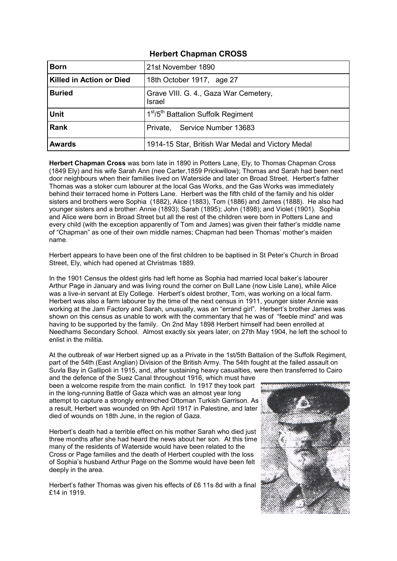## **Herbert Chapman CROSS**

| <b>Born</b>              | 21st November 1890                                          |
|--------------------------|-------------------------------------------------------------|
| Killed in Action or Died | 18th October 1917, age 27                                   |
| <b>Buried</b>            | Grave VIII. G. 4., Gaza War Cemetery,<br><b>Israel</b>      |
| <b>Unit</b>              | 1 <sup>st</sup> /5 <sup>th</sup> Battalion Suffolk Regiment |
| Rank                     | Private, Service Number 13683                               |
| <b>Awards</b>            | 1914-15 Star, British War Medal and Victory Medal           |

**Herbert Chapman Cross** was born late in 1890 in Potters Lane, Ely, to Thomas Chapman Cross (1849 Ely) and his wife Sarah Ann (nee Carter,1859 Prickwillow); Thomas and Sarah had been next door neighbours when their families lived on Waterside and later on Broad Street. Herbert's father Thomas was a stoker cum labourer at the local Gas Works, and the Gas Works was immediately behind their terraced home in Potters Lane. Herbert was the fifth child of the family and his older sisters and brothers were Sophia (1882), Alice (1883), Tom (1886) and James (1888). He also had younger sisters and a brother: Annie (1893); Sarah (1895); John (1898); and Violet (1901). Sophia and Alice were born in Broad Street but all the rest of the children were born in Potters Lane and every child (with the exception apparently of Tom and James) was given their father's middle name of "Chapman" as one of their own middle names; Chapman had been Thomas' mother's maiden name.

Herbert appears to have been one of the first children to be baptised in St Peter's Church in Broad Street, Ely, which had opened at Christmas 1889.

In the 1901 Census the oldest girls had left home as Sophia had married local baker's labourer Arthur Page in January and was living round the corner on Bull Lane (now Lisle Lane), while Alice was a live-in servant at Ely College. Herbert's oldest brother, Tom, was working on a local farm. Herbert was also a farm labourer by the time of the next census in 1911, younger sister Annie was working at the Jam Factory and Sarah, unusually, was an "errand girl". Herbert's brother James was shown on this census as unable to work with the commentary that he was of "feeble mind" and was having to be supported by the family. On 2nd May 1898 Herbert himself had been enrolled at Needhams Secondary School. Almost exactly six years later, on 27th May 1904, he left the school to enlist in the militia.

At the outbreak of war Herbert signed up as a Private in the 1st/5th Battalion of the Suffolk Regiment, part of the 54th (East Anglian) Division of the British Army. The 54th fought at the failed assault on Suvla Bay in Gallipoli in 1915, and, after sustaining heavy casualties, were then transferred to Cairo

and the defence of the Suez Canal throughout 1916, which must have been a welcome respite from the main conflict. In 1917 they took part in the long-running Battle of Gaza which was an almost year long attempt to capture a strongly entrenched Ottoman Turkish Garrison. As a result, Herbert was wounded on 9th April 1917 in Palestine, and later died of wounds on 18th June, in the region of Gaza.

Herbert's death had a terrible effect on his mother Sarah who died just three months after she had heard the news about her son. At this time many of the residents of Waterside would have been related to the Cross or Page families and the death of Herbert coupled with the loss of Sophia's husband Arthur Page on the Somme would have been felt deeply in the area.

Herbert's father Thomas was given his effects of £6 11s 8d with a final £14 in 1919.

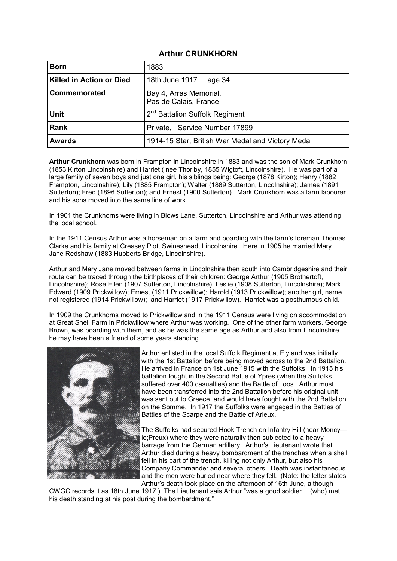## **Arthur CRUNKHORN**

| <b>Born</b>                     | 1883                                              |
|---------------------------------|---------------------------------------------------|
| <b>Killed in Action or Died</b> | 18th June 1917<br>age 34                          |
| <b>Commemorated</b>             | Bay 4, Arras Memorial,<br>Pas de Calais, France   |
| <b>Unit</b>                     | 2 <sup>nd</sup> Battalion Suffolk Regiment        |
| <b>Rank</b>                     | Private, Service Number 17899                     |
| <b>Awards</b>                   | 1914-15 Star, British War Medal and Victory Medal |

**Arthur Crunkhorn** was born in Frampton in Lincolnshire in 1883 and was the son of Mark Crunkhorn (1853 Kirton Lincolnshire) and Harriet ( nee Thorlby, 1855 Wigtoft, Lincolnshire). He was part of a large family of seven boys and just one girl, his siblings being: George (1878 Kirton); Henry (1882 Frampton, Lincolnshire); Lily (1885 Frampton); Walter (1889 Sutterton, Lincolnshire); James (1891 Sutterton); Fred (1896 Sutterton); and Ernest (1900 Sutterton). Mark Crunkhorn was a farm labourer and his sons moved into the same line of work.

In 1901 the Crunkhorns were living in Blows Lane, Sutterton, Lincolnshire and Arthur was attending the local school.

In the 1911 Census Arthur was a horseman on a farm and boarding with the farm's foreman Thomas Clarke and his family at Creasey Plot, Swineshead, Lincolnshire. Here in 1905 he married Mary Jane Redshaw (1883 Hubberts Bridge, Lincolnshire).

Arthur and Mary Jane moved between farms in Lincolnshire then south into Cambridgeshire and their route can be traced through the birthplaces of their children: George Arthur (1905 Brothertoft, Lincolnshire); Rose Ellen (1907 Sutterton, Lincolnshire); Leslie (1908 Sutterton, Lincolnshire); Mark Edward (1909 Prickwillow); Ernest (1911 Prickwillow); Harold (1913 Prickwillow); another girl, name not registered (1914 Prickwillow); and Harriet (1917 Prickwillow). Harriet was a posthumous child.

In 1909 the Crunkhorns moved to Prickwillow and in the 1911 Census were living on accommodation at Great Shell Farm in Prickwillow where Arthur was working. One of the other farm workers, George Brown, was boarding with them, and as he was the same age as Arthur and also from Lincolnshire he may have been a friend of some years standing.



Arthur enlisted in the local Suffolk Regiment at Ely and was initially with the 1st Battalion before being moved across to the 2nd Battalion. He arrived in France on 1st June 1915 with the Suffolks. In 1915 his battalion fought in the Second Battle of Ypres (when the Suffolks suffered over 400 casualties) and the Battle of Loos. Arthur must have been transferred into the 2nd Battalion before his original unit was sent out to Greece, and would have fought with the 2nd Battalion on the Somme. In 1917 the Suffolks were engaged in the Battles of Battles of the Scarpe and the Battle of Arleux.

The Suffolks had secured Hook Trench on Infantry Hill (near Moncy le;Preux) where they were naturally then subjected to a heavy barrage from the German artillery. Arthur's Lieutenant wrote that Arthur died during a heavy bombardment of the trenches when a shell fell in his part of the trench, killing not only Arthur, but also his Company Commander and several others. Death was instantaneous and the men were buried near where they fell. (Note: the letter states Arthur's death took place on the afternoon of 16th June, although

CWGC records it as 18th June 1917.) The Lieutenant sais Arthur "was a good soldier….(who) met his death standing at his post during the bombardment."